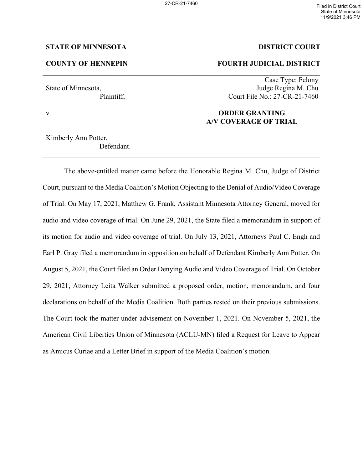**\_\_\_\_\_\_\_\_\_\_\_\_\_\_\_\_\_\_\_\_\_\_\_\_\_\_\_\_\_\_\_\_\_\_\_\_\_\_\_\_\_\_\_\_\_\_\_\_\_\_\_\_\_\_\_\_\_\_\_\_\_\_\_\_\_\_\_\_\_\_\_\_\_\_\_\_\_\_**

**\_\_\_\_\_\_\_\_\_\_\_\_\_\_\_\_\_\_\_\_\_\_\_\_\_\_\_\_\_\_\_\_\_\_\_\_\_\_\_\_\_\_\_\_\_\_\_\_\_\_\_\_\_\_\_\_\_\_\_\_\_\_\_\_\_\_\_\_\_\_\_\_\_\_\_\_\_\_**

## **STATE OF MINNESOTA DISTRICT COURT**

# **COUNTY OF HENNEPIN FOURTH JUDICIAL DISTRICT**

Case Type: Felony State of Minnesota, Judge Regina M. Chu Plaintiff, Court File No.: 27-CR-21-7460

# v. **ORDER GRANTING A/V COVERAGE OF TRIAL**

Kimberly Ann Potter, Defendant.

The above-entitled matter came before the Honorable Regina M. Chu, Judge of District Court, pursuant to the Media Coalition's Motion Objecting to the Denial of Audio/Video Coverage of Trial. On May 17, 2021, Matthew G. Frank, Assistant Minnesota Attorney General, moved for audio and video coverage of trial. On June 29, 2021, the State filed a memorandum in support of its motion for audio and video coverage of trial. On July 13, 2021, Attorneys Paul C. Engh and Earl P. Gray filed a memorandum in opposition on behalf of Defendant Kimberly Ann Potter. On August 5, 2021, the Court filed an Order Denying Audio and Video Coverage of Trial. On October 29, 2021, Attorney Leita Walker submitted a proposed order, motion, memorandum, and four declarations on behalf of the Media Coalition. Both parties rested on their previous submissions. The Court took the matter under advisement on November 1, 2021. On November 5, 2021, the American Civil Liberties Union of Minnesota (ACLU-MN) filed a Request for Leave to Appear as Amicus Curiae and a Letter Brief in support of the Media Coalition's motion.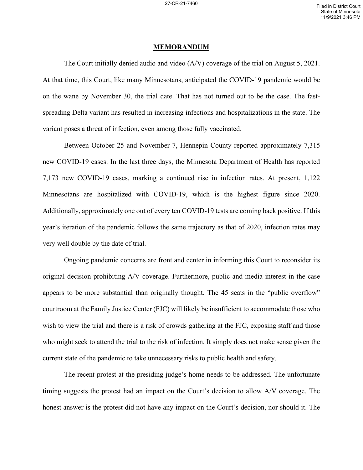#### **MEMORANDUM**

The Court initially denied audio and video (A/V) coverage of the trial on August 5, 2021. At that time, this Court, like many Minnesotans, anticipated the COVID-19 pandemic would be on the wane by November 30, the trial date. That has not turned out to be the case. The fastspreading Delta variant has resulted in increasing infections and hospitalizations in the state. The variant poses a threat of infection, even among those fully vaccinated.

Between October 25 and November 7, Hennepin County reported approximately 7,315 new COVID-19 cases. In the last three days, the Minnesota Department of Health has reported 7,173 new COVID-19 cases, marking a continued rise in infection rates. At present, 1,122 Minnesotans are hospitalized with COVID-19, which is the highest figure since 2020. Additionally, approximately one out of every ten COVID-19 tests are coming back positive. If this year's iteration of the pandemic follows the same trajectory as that of 2020, infection rates may very well double by the date of trial.

Ongoing pandemic concerns are front and center in informing this Court to reconsider its original decision prohibiting A/V coverage. Furthermore, public and media interest in the case appears to be more substantial than originally thought. The 45 seats in the "public overflow" courtroom at the Family Justice Center (FJC) will likely be insufficient to accommodate those who wish to view the trial and there is a risk of crowds gathering at the FJC, exposing staff and those who might seek to attend the trial to the risk of infection. It simply does not make sense given the current state of the pandemic to take unnecessary risks to public health and safety.

The recent protest at the presiding judge's home needs to be addressed. The unfortunate timing suggests the protest had an impact on the Court's decision to allow A/V coverage. The honest answer is the protest did not have any impact on the Court's decision, nor should it. The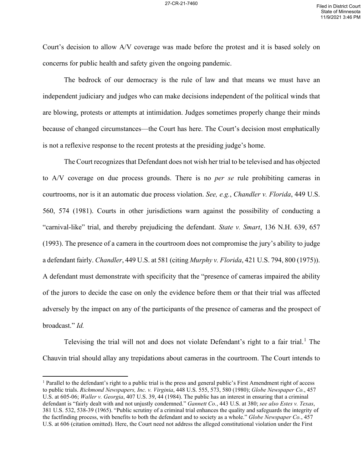Court's decision to allow A/V coverage was made before the protest and it is based solely on concerns for public health and safety given the ongoing pandemic.

The bedrock of our democracy is the rule of law and that means we must have an independent judiciary and judges who can make decisions independent of the political winds that are blowing, protests or attempts at intimidation. Judges sometimes properly change their minds because of changed circumstances—the Court has here. The Court's decision most emphatically is not a reflexive response to the recent protests at the presiding judge's home.

The Court recognizes that Defendant does not wish her trial to be televised and has objected to A/V coverage on due process grounds. There is no *per se* rule prohibiting cameras in courtrooms, nor is it an automatic due process violation. *See, e.g.*, *Chandler v. Florida*, 449 U.S. 560, 574 (1981). Courts in other jurisdictions warn against the possibility of conducting a "carnival-like" trial, and thereby prejudicing the defendant. *State v. Smart*, 136 N.H. 639, 657 (1993). The presence of a camera in the courtroom does not compromise the jury's ability to judge a defendant fairly. *Chandler*, 449 U.S. at 581 (citing *Murphy v. Florida*, 421 U.S. 794, 800 (1975)). A defendant must demonstrate with specificity that the "presence of cameras impaired the ability of the jurors to decide the case on only the evidence before them or that their trial was affected adversely by the impact on any of the participants of the presence of cameras and the prospect of broadcast." *Id.* 

Televising the trial will not and does not violate Defendant's right to a fair trial.<sup>[1](#page-2-0)</sup> The Chauvin trial should allay any trepidations about cameras in the courtroom. The Court intends to

<span id="page-2-0"></span><sup>&</sup>lt;sup>1</sup> Parallel to the defendant's right to a public trial is the press and general public's First Amendment right of access to public trials. *Richmond Newspapers, Inc. v. Virginia*, 448 U.S. 555, 573, 580 (1980); *Globe Newspaper Co.*, 457 U.S. at 605-06; *Waller v. Georgia*, 407 U.S. 39, 44 (1984). The public has an interest in ensuring that a criminal defendant is "fairly dealt with and not unjustly condemned." *Gannett Co.*, 443 U.S. at 380; *see also Estes v. Texas*, 381 U.S. 532, 538-39 (1965). "Public scrutiny of a criminal trial enhances the quality and safeguards the integrity of the factfinding process, with benefits to both the defendant and to society as a whole." *Globe Newspaper Co.*, 457 U.S. at 606 (citation omitted). Here, the Court need not address the alleged constitutional violation under the First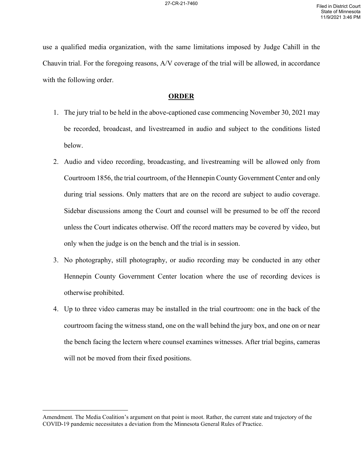use a qualified media organization, with the same limitations imposed by Judge Cahill in the Chauvin trial. For the foregoing reasons, A/V coverage of the trial will be allowed, in accordance with the following order.

## **ORDER**

- 1. The jury trial to be held in the above-captioned case commencing November 30, 2021 may be recorded, broadcast, and livestreamed in audio and subject to the conditions listed below.
- 2. Audio and video recording, broadcasting, and livestreaming will be allowed only from Courtroom 1856, the trial courtroom, of the Hennepin County Government Center and only during trial sessions. Only matters that are on the record are subject to audio coverage. Sidebar discussions among the Court and counsel will be presumed to be off the record unless the Court indicates otherwise. Off the record matters may be covered by video, but only when the judge is on the bench and the trial is in session.
- 3. No photography, still photography, or audio recording may be conducted in any other Hennepin County Government Center location where the use of recording devices is otherwise prohibited.
- 4. Up to three video cameras may be installed in the trial courtroom: one in the back of the courtroom facing the witness stand, one on the wall behind the jury box, and one on or near the bench facing the lectern where counsel examines witnesses. After trial begins, cameras will not be moved from their fixed positions.

Amendment. The Media Coalition's argument on that point is moot. Rather, the current state and trajectory of the COVID-19 pandemic necessitates a deviation from the Minnesota General Rules of Practice.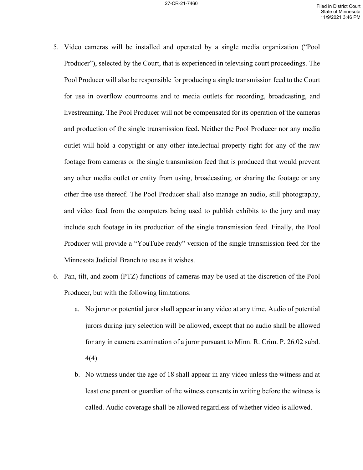- 5. Video cameras will be installed and operated by a single media organization ("Pool Producer"), selected by the Court, that is experienced in televising court proceedings. The Pool Producer will also be responsible for producing a single transmission feed to the Court for use in overflow courtrooms and to media outlets for recording, broadcasting, and livestreaming. The Pool Producer will not be compensated for its operation of the cameras and production of the single transmission feed. Neither the Pool Producer nor any media outlet will hold a copyright or any other intellectual property right for any of the raw footage from cameras or the single transmission feed that is produced that would prevent any other media outlet or entity from using, broadcasting, or sharing the footage or any other free use thereof. The Pool Producer shall also manage an audio, still photography, and video feed from the computers being used to publish exhibits to the jury and may include such footage in its production of the single transmission feed. Finally, the Pool Producer will provide a "YouTube ready" version of the single transmission feed for the Minnesota Judicial Branch to use as it wishes.
- 6. Pan, tilt, and zoom (PTZ) functions of cameras may be used at the discretion of the Pool Producer, but with the following limitations:
	- a. No juror or potential juror shall appear in any video at any time. Audio of potential jurors during jury selection will be allowed, except that no audio shall be allowed for any in camera examination of a juror pursuant to Minn. R. Crim. P. 26.02 subd. 4(4).
	- b. No witness under the age of 18 shall appear in any video unless the witness and at least one parent or guardian of the witness consents in writing before the witness is called. Audio coverage shall be allowed regardless of whether video is allowed.